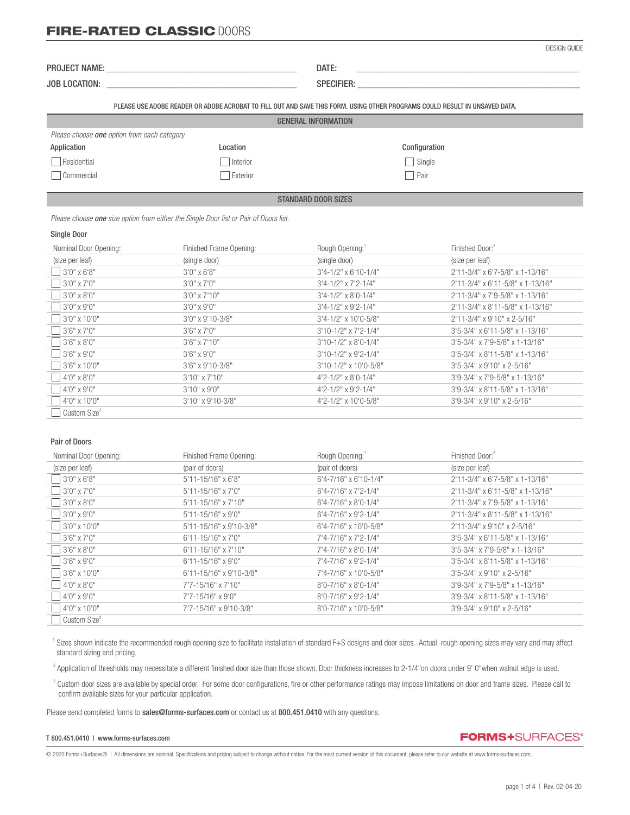## **FIRE-RATED CLASSIC DOORS**

DESIGN GUIDE

| PRO.<br>NAMI | ٠ι۵.<br>$-111 - 1$ |  |
|--------------|--------------------|--|
|              |                    |  |

JOB LOCATION: \_\_\_\_\_\_\_\_\_\_\_\_\_\_\_\_\_\_\_\_\_\_\_\_\_\_\_\_\_\_\_\_\_\_\_\_\_\_\_\_\_ SPECIFIER: \_\_\_\_\_\_\_\_\_\_\_\_\_\_\_\_\_\_\_\_\_\_\_\_\_\_\_\_\_\_\_\_\_\_\_\_\_\_\_\_\_\_\_\_\_\_\_\_

PLEASE USE ADOBE READER OR ADOBE ACROBAT TO FILL OUT AND SAVE THIS FORM. USING OTHER PROGRAMS COULD RESULT IN UNSAVED DATA.

|                                                    | <b>GENERAL INFORMATION</b> |
|----------------------------------------------------|----------------------------|
| Please choose <b>one</b> option from each category |                            |

| Application | Location | Configuration |
|-------------|----------|---------------|
| Residential | Interior | Single        |
| Commercial  | Exterior | Pair          |

### STANDARD DOOR SIZES

 *Please choose one size option from either the Single Door list or Pair of Doors list.*

#### Single Door

֦

| Nominal Door Opening:    | Finished Frame Opening: | Rough Opening:                   | Finished Door: <sup>2</sup>      |
|--------------------------|-------------------------|----------------------------------|----------------------------------|
| (size per leaf)          | (single door)           | (single door)                    | (size per leaf)                  |
| 3'0" x 6'8"              | $3'0''$ x 6'8"          | $3'4 - 1/2''$ x 6'10-1/4"        | 2'11-3/4" x 6'7-5/8" x 1-13/16"  |
| 3'0" x 7'0"              | $3'0''$ x $7'0''$       | $3'4 - 1/2''$ x $7'2 - 1/4''$    | 2'11-3/4" x 6'11-5/8" x 1-13/16" |
| 3'0" x 8'0"              | $3'0''$ x $7'10''$      | $3'4 - 1/2''$ x 8'0-1/4"         | 2'11-3/4" x 7'9-5/8" x 1-13/16"  |
| $3'0''$ x $9'0''$        | $3'0''$ x $9'0''$       | $3'4 - 1/2''$ x 9'2-1/4"         | 2'11-3/4" x 8'11-5/8" x 1-13/16" |
| 3'0" x 10'0"             | 3'0" x 9'10-3/8"        | $3'4 - 1/2''$ x 10'0-5/8"        | 2'11-3/4" x 9'10" x 2-5/16"      |
| 3'6" x 7'0"              | $3'6''$ x $7'0''$       | 3'10-1/2" x 7'2-1/4"             | 3'5-3/4" x 6'11-5/8" x 1-13/16"  |
| $3'6'' \times 8'0''$     | $3'6''$ x $7'10''$      | $3'10-1/2"$ x 8'0-1/4"           | 3'5-3/4" x 7'9-5/8" x 1-13/16"   |
| $3'6'' \times 9'0''$     | $3'6'' \times 9'0''$    | 3'10-1/2" x 9'2-1/4"             | 3'5-3/4" x 8'11-5/8" x 1-13/16"  |
| 3'6" x 10'0"             | 3'6" x 9'10-3/8"        | $3'10-1/2"$ x 10'0-5/8"          | 3'5-3/4" x 9'10" x 2-5/16"       |
| $4'0'' \times 8'0''$     | $3'10''$ x $7'10''$     | $4'2 - 1/2'' \times 8'0 - 1/4''$ | 3'9-3/4" x 7'9-5/8" x 1-13/16"   |
| 4'0" x 9'0"              | $3'10''$ x 9'0"         | 4'2-1/2" x 9'2-1/4"              | 3'9-3/4" x 8'11-5/8" x 1-13/16"  |
| 4'0" x 10'0"             | 3'10" x 9'10-3/8"       | 4'2-1/2" x 10'0-5/8"             | 3'9-3/4" x 9'10" x 2-5/16"       |
| Custom Size <sup>3</sup> |                         |                                  |                                  |

### Pair of Doors

| Nominal Door Opening:    | Finished Frame Opening:  | Rough Opening:                    | Finished Door: <sup>2</sup>         |
|--------------------------|--------------------------|-----------------------------------|-------------------------------------|
| (size per leaf)          | (pair of doors)          | (pair of doors)                   | (size per leaf)                     |
| $3'0''$ x 6'8"           | $5'11 - 15/16''$ x 6'8"  | 6'4-7/16" x 6'10-1/4"             | 2'11-3/4" x 6'7-5/8" x 1-13/16"     |
| $13'0''$ x 7'0"          | 5'11-15/16" x 7'0"       | $6'4 - 7/16'' \times 7'2 - 1/4''$ | $2'11-3/4"$ x 6'11-5/8" x 1-13/16"  |
| $3'0''$ x 8'0"           | 5'11-15/16" x 7'10"      | 6'4-7/16" x 8'0-1/4"              | 2'11-3/4" x 7'9-5/8" x 1-13/16"     |
| $3'0''$ x 9'0"           | $5'11 - 15/16''$ x 9'0"  | $6'4 - 7/16''$ x 9'2-1/4"         | 2'11-3/4" x 8'11-5/8" x 1-13/16"    |
| $3'0''$ x 10'0"          | 5'11-15/16" x 9'10-3/8"  | $6'4 - 7/16''$ x 10'0-5/8"        | 2'11-3/4" x 9'10" x 2-5/16"         |
| $3'6'' \times 7'0''$     | $6'11 - 15/16''$ x 7'0"  | 7'4-7/16" x 7'2-1/4"              | $3'5-3/4''$ x 6'11-5/8" x 1-13/16"  |
| $3'6'' \times 8'0''$     | $6'11 - 15/16''$ x 7'10" | 7'4-7/16" x 8'0-1/4"              | $3'5 - 3/4''$ x 7'9-5/8" x 1-13/16" |
| $3'6'' \times 9'0''$     | 6'11-15/16" x 9'0"       | 7'4-7/16" x 9'2-1/4"              | 3'5-3/4" x 8'11-5/8" x 1-13/16"     |
| $3'6''$ x 10'0"          | 6'11-15/16" x 9'10-3/8"  | 7'4-7/16" x 10'0-5/8"             | 3'5-3/4" x 9'10" x 2-5/16"          |
| $4'0''$ x 8'0"           | 7'7-15/16" x 7'10"       | 8'0-7/16" x 8'0-1/4"              | 3'9-3/4" x 7'9-5/8" x 1-13/16"      |
| $4'0''$ x 9'0"           | 7'7-15/16" x 9'0"        | $8'0 - 7/16''$ x 9'2-1/4"         | 3'9-3/4" x 8'11-5/8" x 1-13/16"     |
| $4'0''$ x 10'0"          | 7'7-15/16" x 9'10-3/8"   | 8'0-7/16" x 10'0-5/8"             | 3'9-3/4" x 9'10" x 2-5/16"          |
| Custom Size <sup>3</sup> |                          |                                   |                                     |

<sup>1</sup> Sizes shown indicate the recommended rough opening size to facilitate installation of standard F+S designs and door sizes. Actual rough opening sizes may vary and may affect standard sizing and pricing.

 $^2$  Application of thresholds may necessitate a different finished door size than those shown. Door thickness increases to 2-1/4"on doors under 9' 0"when walnut edge is used.

<sup>3</sup> Custom door sizes are available by special order. For some door configurations, fire or other performance ratings may impose limitations on door and frame sizes. Please call to confirm available sizes for your particular application.

Please send completed forms to sales@forms-surfaces.com or contact us at 800.451.0410 with any questions.

#### T 800.451.0410 | www.forms-surfaces.com

**FORMS+**SURFACES®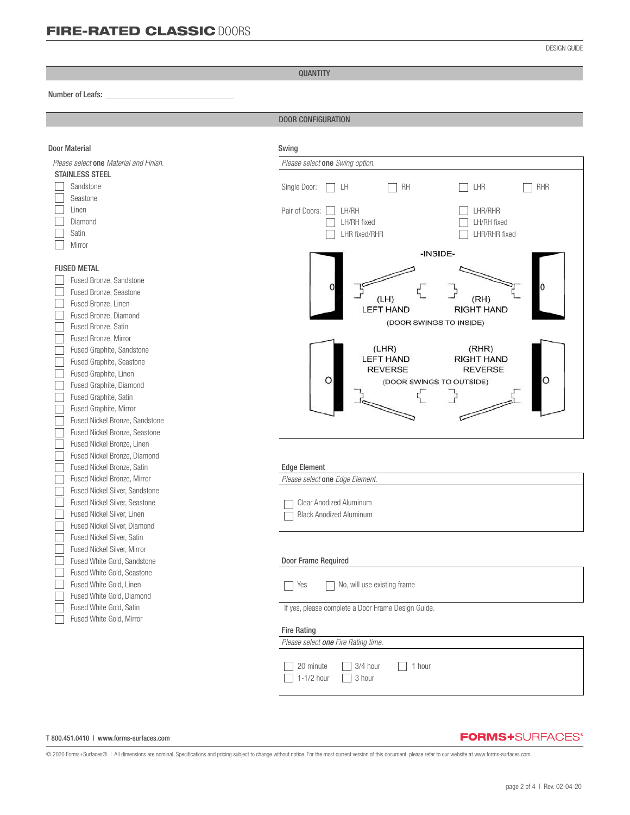DESIGN GUIDE

QUANTITY

#### Number of Leafs: *\_\_\_\_\_\_\_\_\_\_\_\_\_\_\_\_\_\_\_\_\_\_\_\_\_\_\_\_\_\_\_*

֦

DOOR CONFIGURATION

| <b>Door Material</b>                            | Swing                                              |  |  |
|-------------------------------------------------|----------------------------------------------------|--|--|
| Please select one Material and Finish.          | Please select one Swing option.                    |  |  |
| <b>STAINLESS STEEL</b>                          |                                                    |  |  |
| Sandstone                                       | RH<br>LHR<br><b>RHR</b><br>Single Door:<br>LН      |  |  |
| Seastone                                        |                                                    |  |  |
| Linen                                           | Pair of Doors:<br>LH/RH<br>LHR/RHR                 |  |  |
| Diamond                                         | LH/RH fixed<br>LH/RH fixed                         |  |  |
| Satin                                           | LHR/RHR fixed<br>LHR fixed/RHR                     |  |  |
| Mirror                                          |                                                    |  |  |
|                                                 | -INSIDE-                                           |  |  |
| <b>FUSED METAL</b>                              |                                                    |  |  |
| Fused Bronze, Sandstone                         |                                                    |  |  |
| Fused Bronze, Seastone                          | (LH)<br>(RH)                                       |  |  |
| Fused Bronze, Linen                             | <b>LEFT HAND</b><br><b>RIGHT HAND</b>              |  |  |
| Fused Bronze, Diamond                           | (DOOR SWINGS TO INSIDE)                            |  |  |
| Fused Bronze, Satin                             |                                                    |  |  |
| Fused Bronze, Mirror                            | (LHR)<br>(RHR)                                     |  |  |
| Fused Graphite, Sandstone                       | <b>LEFT HAND</b><br><b>RIGHT HAND</b>              |  |  |
| Fused Graphite, Seastone                        | <b>REVERSE</b><br><b>REVERSE</b>                   |  |  |
| Fused Graphite, Linen                           | O<br>O<br>(DOOR SWINGS TO OUTSIDE)                 |  |  |
| Fused Graphite, Diamond                         |                                                    |  |  |
| Fused Graphite, Satin<br>Fused Graphite, Mirror |                                                    |  |  |
| Fused Nickel Bronze, Sandstone                  |                                                    |  |  |
| Fused Nickel Bronze, Seastone                   |                                                    |  |  |
| Fused Nickel Bronze, Linen                      |                                                    |  |  |
| Fused Nickel Bronze, Diamond                    |                                                    |  |  |
| Fused Nickel Bronze, Satin                      | <b>Edge Element</b>                                |  |  |
| Fused Nickel Bronze, Mirror                     | Please select one Edge Element.                    |  |  |
| Fused Nickel Silver, Sandstone                  |                                                    |  |  |
| Fused Nickel Silver, Seastone                   | Clear Anodized Aluminum                            |  |  |
| Fused Nickel Silver, Linen                      | <b>Black Anodized Aluminum</b>                     |  |  |
| Fused Nickel Silver, Diamond                    |                                                    |  |  |
| Fused Nickel Silver, Satin                      |                                                    |  |  |
| Fused Nickel Silver, Mirror                     |                                                    |  |  |
| Fused White Gold, Sandstone                     | Door Frame Required                                |  |  |
| Fused White Gold, Seastone                      |                                                    |  |  |
| Fused White Gold, Linen                         | Yes<br>No, will use existing frame                 |  |  |
| Fused White Gold, Diamond                       |                                                    |  |  |
| Fused White Gold, Satin                         | If yes, please complete a Door Frame Design Guide. |  |  |
| Fused White Gold, Mirror                        |                                                    |  |  |
|                                                 | <b>Fire Rating</b>                                 |  |  |
|                                                 | Please select one Fire Rating time.                |  |  |
|                                                 |                                                    |  |  |
|                                                 | 3/4 hour<br>1 hour<br>20 minute                    |  |  |
|                                                 | 1-1/2 hour<br>3 hour                               |  |  |

#### T 800.451.0410 | www.forms-surfaces.com

## **FORMS+**SURFACES®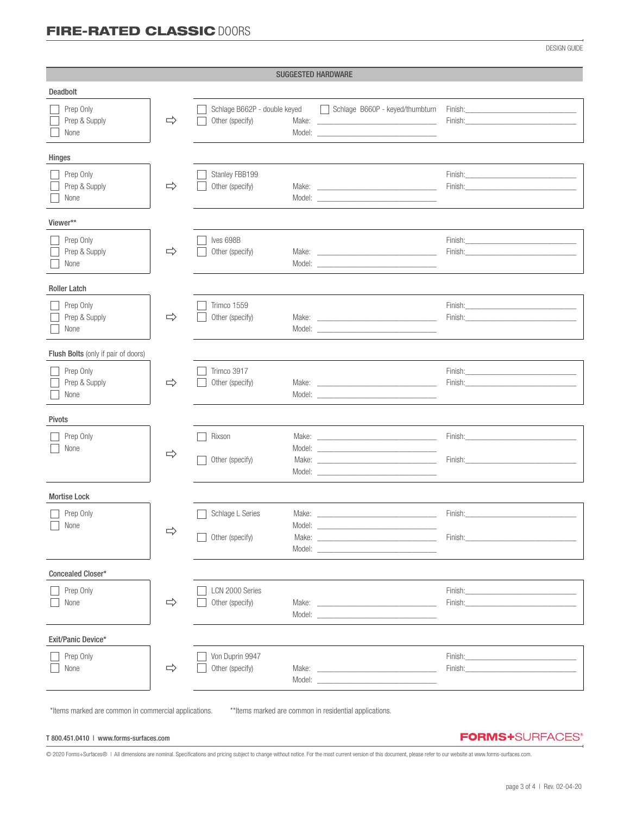# FIRE-RATED CLASSIC DOORS

DESIGN GUIDE

| <b>SUGGESTED HARDWARE</b>           |               |                                                 |                                                                                                                                                                                                                                                                                                                                                                                                                                                                 |                                                                                                                                                                                                                                                                                                                                                                                                                                                                  |
|-------------------------------------|---------------|-------------------------------------------------|-----------------------------------------------------------------------------------------------------------------------------------------------------------------------------------------------------------------------------------------------------------------------------------------------------------------------------------------------------------------------------------------------------------------------------------------------------------------|------------------------------------------------------------------------------------------------------------------------------------------------------------------------------------------------------------------------------------------------------------------------------------------------------------------------------------------------------------------------------------------------------------------------------------------------------------------|
| Deadbolt                            |               |                                                 |                                                                                                                                                                                                                                                                                                                                                                                                                                                                 |                                                                                                                                                                                                                                                                                                                                                                                                                                                                  |
| Prep Only<br>Prep & Supply<br>None  | $\Rightarrow$ | Schlage B662P - double keyed<br>Other (specify) | Schlage B660P - keyed/thumbturn                                                                                                                                                                                                                                                                                                                                                                                                                                 | Finish: Entertainment of the state of the state of the state of the state of the state of the state of the state of the state of the state of the state of the state of the state of the state of the state of the state of th<br>Finish: Enish and the state of the state of the state of the state of the state of the state of the state of the state of the state of the state of the state of the state of the state of the state of the state of the state |
| Hinges                              |               |                                                 |                                                                                                                                                                                                                                                                                                                                                                                                                                                                 |                                                                                                                                                                                                                                                                                                                                                                                                                                                                  |
| Prep Only<br>Prep & Supply<br>None  | $\Rightarrow$ | Stanley FBB199<br>Other (specify)               | Model: New York and the state of the state of the state of the state of the state of the state of the state of the state of the state of the state of the state of the state of the state of the state of the state of the sta                                                                                                                                                                                                                                  | Finish: The Company of the Company of the Company of the Company of the Company of the Company of the Company of the Company of the Company of the Company of the Company of the Company of the Company of the Company of the<br>Finish: Entrance and the contract of the contract of the contract of the contract of the contract of the contract of the contract of the contract of the contract of the contract of the contract of the contract of the contr  |
| Viewer**                            |               |                                                 |                                                                                                                                                                                                                                                                                                                                                                                                                                                                 |                                                                                                                                                                                                                                                                                                                                                                                                                                                                  |
| Prep Only<br>Prep & Supply<br>None  | $\Rightarrow$ | Ives 698B<br>Other (specify)                    | Model: New York and the state of the state of the state of the state of the state of the state of the state of the state of the state of the state of the state of the state of the state of the state of the state of the sta                                                                                                                                                                                                                                  | Finish: The Company of the Company of the Company of the Company of the Company of the Company of the Company of the Company of the Company of the Company of the Company of the Company of the Company of the Company of the                                                                                                                                                                                                                                    |
| <b>Roller Latch</b>                 |               |                                                 |                                                                                                                                                                                                                                                                                                                                                                                                                                                                 |                                                                                                                                                                                                                                                                                                                                                                                                                                                                  |
| Prep Only<br>Prep & Supply<br>None  | $\Rightarrow$ | Trimco 1559<br>Other (specify)                  | Make: National Commission of the Commission of the Commission of the Commission of the Commission of the Commission of the Commission of the Commission of the Commission of the Commission of the Commission of the Commissio                                                                                                                                                                                                                                  | Finish: Enterprise of the state of the state of the state of the state of the state of the state of the state of the state of the state of the state of the state of the state of the state of the state of the state of the s                                                                                                                                                                                                                                   |
| Flush Bolts (only if pair of doors) |               |                                                 |                                                                                                                                                                                                                                                                                                                                                                                                                                                                 |                                                                                                                                                                                                                                                                                                                                                                                                                                                                  |
| Prep Only<br>Prep & Supply<br>None  | $\Rightarrow$ | Trimco 3917<br>Other (specify)                  | Model: New York and the state of the state of the state of the state of the state of the state of the state of the state of the state of the state of the state of the state of the state of the state of the state of the sta                                                                                                                                                                                                                                  | Finish: The Company of the Company of the Company of the Company of the Company of the Company of the Company of the Company of the Company of the Company of the Company of the Company of the Company of the Company of the                                                                                                                                                                                                                                    |
| <b>Pivots</b>                       |               |                                                 |                                                                                                                                                                                                                                                                                                                                                                                                                                                                 |                                                                                                                                                                                                                                                                                                                                                                                                                                                                  |
| Prep Only<br>None                   | $\Rightarrow$ | Rixson<br>Other (specify)                       |                                                                                                                                                                                                                                                                                                                                                                                                                                                                 | Finish: Enish and the state of the state of the state of the state of the state of the state of the state of the state of the state of the state of the state of the state of the state of the state of the state of the state<br>Finish: Enish and the state of the state of the state of the state of the state of the state of the state of the state of the state of the state of the state of the state of the state of the state of the state of the state |
| <b>Mortise Lock</b>                 |               |                                                 |                                                                                                                                                                                                                                                                                                                                                                                                                                                                 |                                                                                                                                                                                                                                                                                                                                                                                                                                                                  |
| Prep Only<br>$\Box$ None            | $\Rightarrow$ | Schlage L Series<br>Model:<br>Other (specify)   | Make: The contract of the contract of the contract of the contract of the contract of the contract of the contract of the contract of the contract of the contract of the contract of the contract of the contract of the cont<br>Model: New York and the Commission of the Commission of the Commission of the Commission of the Commission of the Commission of the Commission of the Commission of the Commission of the Commission of the Commission of the | Finish:<br>Finish:                                                                                                                                                                                                                                                                                                                                                                                                                                               |
| Concealed Closer*                   |               |                                                 |                                                                                                                                                                                                                                                                                                                                                                                                                                                                 |                                                                                                                                                                                                                                                                                                                                                                                                                                                                  |
| Prep Only<br>None                   | $\Rightarrow$ | LCN 2000 Series<br>Other (specify)              | Model: New York and the Commission of the Commission of the Commission of the Commission of the Commission of the Commission of the Commission of the Commission of the Commission of the Commission of the Commission of the                                                                                                                                                                                                                                   | Finish: Enterprise of the state of the state of the state of the state of the state of the state of the state of the state of the state of the state of the state of the state of the state of the state of the state of the s<br>Finish: Enterprise of the state of the state of the state of the state of the state of the state of the state of the state of the state of the state of the state of the state of the state of the state of the state of the s |
| Exit/Panic Device*                  |               |                                                 |                                                                                                                                                                                                                                                                                                                                                                                                                                                                 |                                                                                                                                                                                                                                                                                                                                                                                                                                                                  |
| Prep Only<br>None                   | $\Rightarrow$ | Von Duprin 9947<br>Other (specify)              | Make: <u>________________________________</u><br>Model: New York and the Commission of the Commission of the Commission of the Commission of the Commission of the Commission of the Commission of the Commission of the Commission of the Commission of the Commission of the                                                                                                                                                                                  | Finish:<br>Finish:                                                                                                                                                                                                                                                                                                                                                                                                                                               |

\*Items marked are common in commercial applications. \*\*Items marked are common in residential applications.

#### T 800.451.0410 | www.forms-surfaces.com

**FORMS+**SURFACES®